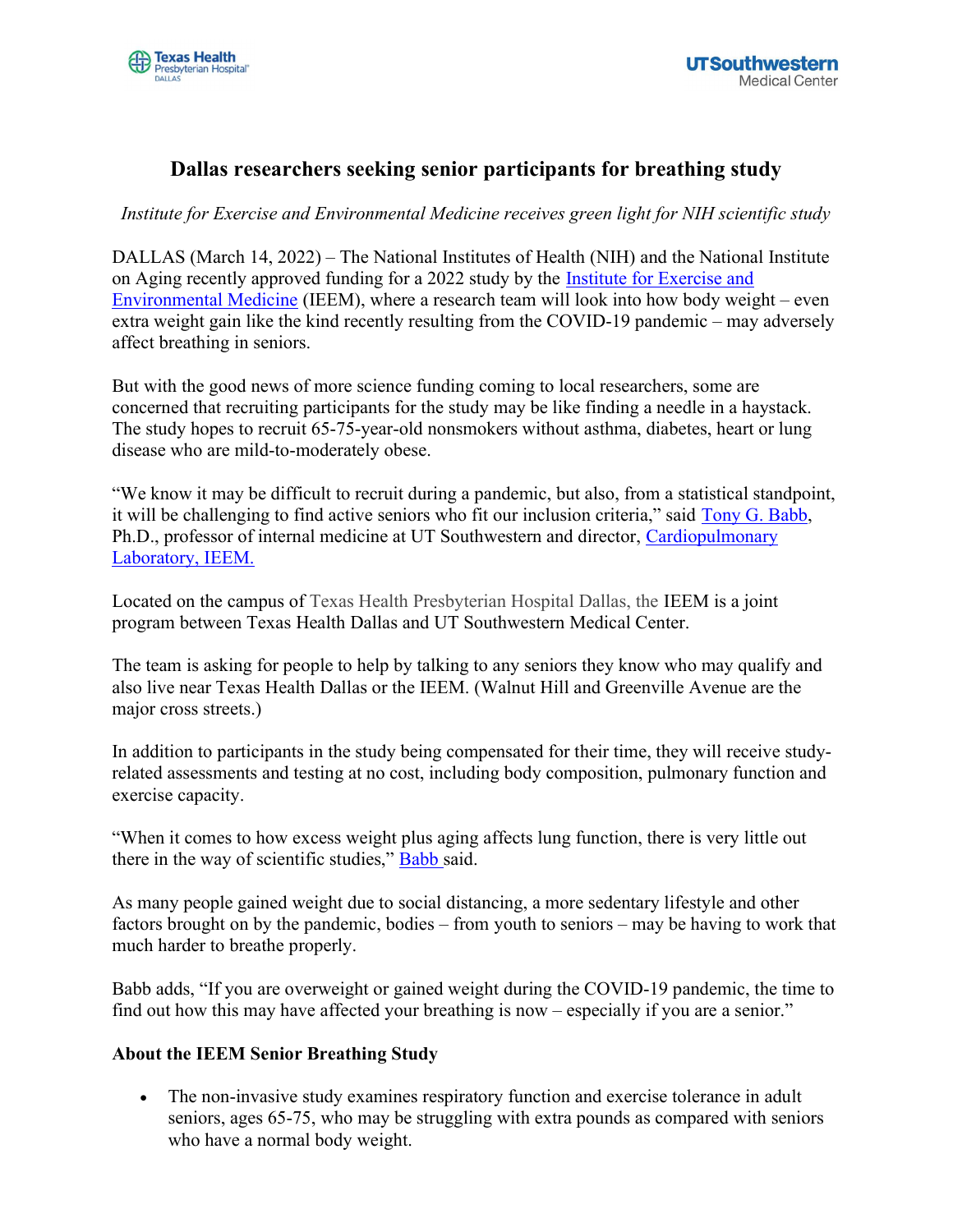# Dallas researchers seeking senior participants for breathing study

Institute for Exercise and Environmental Medicine receives green light for NIH scientific study

DALLAS (March 14, 2022) – The National Institutes of Health (NIH) and the National Institute on Aging recently approved funding for a 2022 study by the Institute for Exercise and Environmental Medicine (IEEM), where a research team will look into how body weight – even extra weight gain like the kind recently resulting from the COVID-19 pandemic – may adversely affect breathing in seniors.

But with the good news of more science funding coming to local researchers, some are concerned that recruiting participants for the study may be like finding a needle in a haystack. The study hopes to recruit 65-75-year-old nonsmokers without asthma, diabetes, heart or lung disease who are mild-to-moderately obese.

"We know it may be difficult to recruit during a pandemic, but also, from a statistical standpoint, it will be challenging to find active seniors who fit our inclusion criteria," said Tony G. Babb, Ph.D., professor of internal medicine at UT Southwestern and director, Cardiopulmonary Laboratory, IEEM.

Located on the campus of Texas Health Presbyterian Hospital Dallas, the IEEM is a joint program between Texas Health Dallas and UT Southwestern Medical Center.

The team is asking for people to help by talking to any seniors they know who may qualify and also live near Texas Health Dallas or the IEEM. (Walnut Hill and Greenville Avenue are the major cross streets.)

In addition to participants in the study being compensated for their time, they will receive studyrelated assessments and testing at no cost, including body composition, pulmonary function and exercise capacity.

"When it comes to how excess weight plus aging affects lung function, there is very little out there in the way of scientific studies," Babb said.

As many people gained weight due to social distancing, a more sedentary lifestyle and other factors brought on by the pandemic, bodies – from youth to seniors – may be having to work that much harder to breathe properly.

Babb adds, "If you are overweight or gained weight during the COVID-19 pandemic, the time to find out how this may have affected your breathing is now – especially if you are a senior."

#### About the IEEM Senior Breathing Study

 The non-invasive study examines respiratory function and exercise tolerance in adult seniors, ages 65-75, who may be struggling with extra pounds as compared with seniors who have a normal body weight.